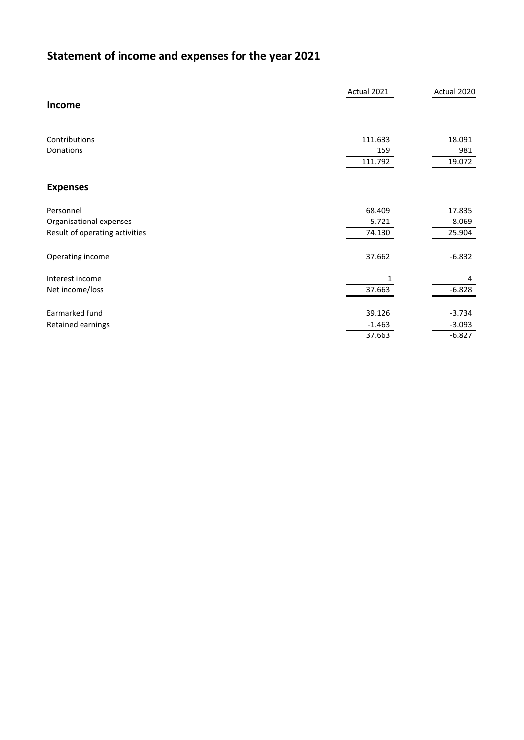## **Statement of income and expenses for the year 2021**

|                                | Actual 2021 | Actual 2020 |
|--------------------------------|-------------|-------------|
| Income                         |             |             |
| Contributions                  | 111.633     | 18.091      |
| Donations                      | 159         | 981         |
|                                | 111.792     | 19.072      |
| <b>Expenses</b>                |             |             |
| Personnel                      | 68.409      | 17.835      |
| Organisational expenses        | 5.721       | 8.069       |
| Result of operating activities | 74.130      | 25.904      |
| Operating income               | 37.662      | $-6.832$    |
| Interest income                |             | 4           |
| Net income/loss                | 37.663      | $-6.828$    |
|                                |             |             |
| Earmarked fund                 | 39.126      | $-3.734$    |
| Retained earnings              | $-1.463$    | $-3.093$    |
|                                | 37.663      | $-6.827$    |